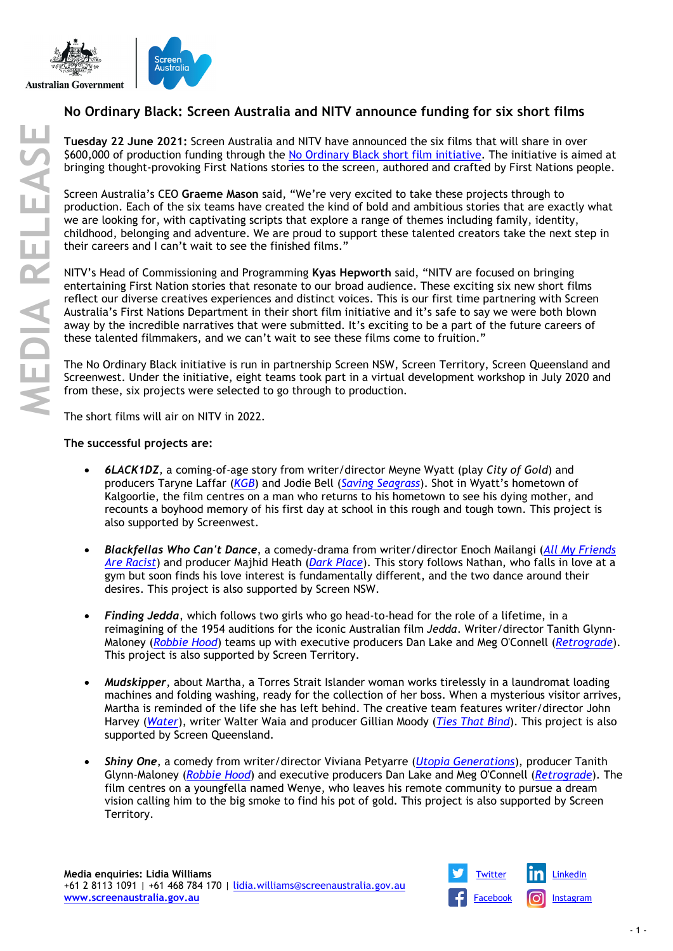



## **No Ordinary Black: Screen Australia and NITV announce funding for six short films**

**Tuesday 22 June 2021:** Screen Australia and NITV have announced the six films that will share in over \$600,000 of production funding through the [No Ordinary Black short film initiative.](https://www.screenaustralia.gov.au/sa/screen-news/2020/03-18-no-ordinary-black-short-film-initiative) The initiative is aimed at bringing thought-provoking First Nations stories to the screen, authored and crafted by First Nations people.

Screen Australia's CEO **Graeme Mason** said, "We're very excited to take these projects through to production. Each of the six teams have created the kind of bold and ambitious stories that are exactly what we are looking for, with captivating scripts that explore a range of themes including family, identity, childhood, belonging and adventure. We are proud to support these talented creators take the next step in their careers and I can't wait to see the finished films."

NITV's Head of Commissioning and Programming **Kyas Hepworth** said, "NITV are focused on bringing entertaining First Nation stories that resonate to our broad audience. These exciting six new short films reflect our diverse creatives experiences and distinct voices. This is our first time partnering with Screen Australia's First Nations Department in their short film initiative and it's safe to say we were both blown away by the incredible narratives that were submitted. It's exciting to be a part of the future careers of these talented filmmakers, and we can't wait to see these films come to fruition."

The No Ordinary Black initiative is run in partnership Screen NSW, Screen Territory, Screen Queensland and Screenwest. Under the initiative, eight teams took part in a virtual development workshop in July 2020 and from these, six projects were selected to go through to production.

The short films will air on NITV in 2022.

## **The successful projects are:**

- *6LACK1DZ,* a coming-of-age story from writer/director Meyne Wyatt (play *City of Gold*) and producers Taryne Laffar (*[KGB](https://www.screenaustralia.gov.au/the-screen-guide/t/KGB-2019/37815)*) and Jodie Bell (*[Saving Seagrass](https://www.screenaustralia.gov.au/the-screen-guide/t/saving-seagrass-2019/36803)*). Shot in Wyatt's hometown of Kalgoorlie, the film centres on a man who returns to his hometown to see his dying mother, and recounts a boyhood memory of his first day at school in this rough and tough town. This project is also supported by Screenwest.
- *Blackfellas Who Can't Dance*, a comedy-drama from writer/director Enoch Mailangi (*[All My Friends](https://www.screenaustralia.gov.au/the-screen-guide/t/all-my-friends-are-racist-2021/37071)  [Are Racist](https://www.screenaustralia.gov.au/the-screen-guide/t/all-my-friends-are-racist-2021/37071)*) and producer Majhid Heath (*[Dark Place](https://www.screenaustralia.gov.au/the-screen-guide/t/Dark-Place-2018/37121)*). This story follows Nathan, who falls in love at a gym but soon finds his love interest is fundamentally different, and the two dance around their desires. This project is also supported by Screen NSW.
- *Finding Jedda*, which follows two girls who go head-to-head for the role of a lifetime, in a reimagining of the 1954 auditions for the iconic Australian film *Jedda*. Writer/director Tanith Glynn-Maloney (*[Robbie Hood](https://www.screenaustralia.gov.au/the-screen-guide/t/Robbie-Hood-2019/36695)*) teams up with executive producers Dan Lake and Meg O'Connell (*[Retrograde](https://www.screenaustralia.gov.au/the-screen-guide/t/retrograde-2020/38857)*). This project is also supported by Screen Territory.
- *Mudskipper*, about Martha, a Torres Strait Islander woman works tirelessly in a laundromat loading machines and folding washing, ready for the collection of her boss. When a mysterious visitor arrives, Martha is reminded of the life she has left behind. The creative team features writer/director John Harvey (*[Water](https://www.screenaustralia.gov.au/the-screen-guide/t/water-2017/35216)*), writer Walter Waia and producer Gillian Moody (*[Ties That Bind](https://www.screenaustralia.gov.au/the-screen-guide/t/Ties-That-Bind-2019/37643)*). This project is also supported by Screen Queensland.
- *Shiny One*, a comedy from writer/director Viviana Petyarre (*[Utopia Generations](https://www.screenaustralia.gov.au/the-screen-guide/t/utopia-generations-2019/37995)*), producer Tanith Glynn-Maloney (*[Robbie Hood](https://www.screenaustralia.gov.au/the-screen-guide/t/Robbie-Hood-2019/36695)*) and executive producers Dan Lake and Meg O'Connell (*[Retrograde](https://www.screenaustralia.gov.au/the-screen-guide/t/retrograde-2020/38857)*). The film centres on a youngfella named Wenye, who leaves his remote community to pursue a dream vision calling him to the big smoke to find his pot of gold. This project is also supported by Screen Territory.